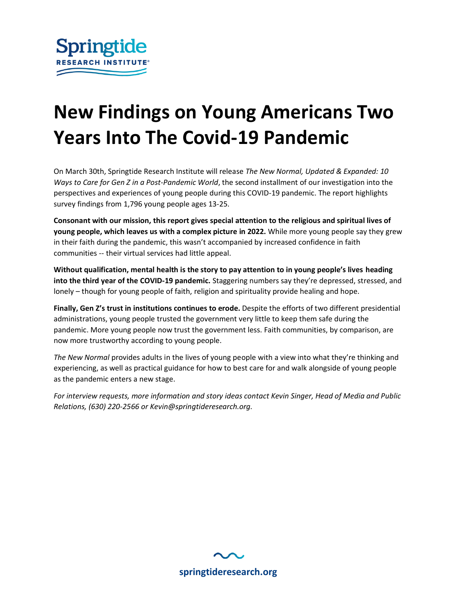

# **New Findings on Young Americans Two Years Into The Covid-19 Pandemic**

On March 30th, Springtide Research Institute will release *The New Normal, Updated & Expanded: 10 Ways to Care for Gen Z in a Post-Pandemic World*, the second installment of our investigation into the perspectives and experiences of young people during this COVID-19 pandemic. The report highlights survey findings from 1,796 young people ages 13-25.

**Consonant with our mission, this report gives special attention to the religious and spiritual lives of young people, which leaves us with a complex picture in 2022.** While more young people say they grew in their faith during the pandemic, this wasn't accompanied by increased confidence in faith communities -- their virtual services had little appeal.

**Without qualification, mental health is the story to pay attention to in young people's lives heading into the third year of the COVID-19 pandemic.** Staggering numbers say they're depressed, stressed, and lonely – though for young people of faith, religion and spirituality provide healing and hope.

**Finally, Gen Z's trust in institutions continues to erode.** Despite the efforts of two different presidential administrations, young people trusted the government very little to keep them safe during the pandemic. More young people now trust the government less. Faith communities, by comparison, are now more trustworthy according to young people.

*The New Normal* provides adults in the lives of young people with a view into what they're thinking and experiencing, as well as practical guidance for how to best care for and walk alongside of young people as the pandemic enters a new stage.

*For interview requests, more information and story ideas contact Kevin Singer, Head of Media and Public Relations, (630) 220-2566 or Kevin@springtideresearch.org.*

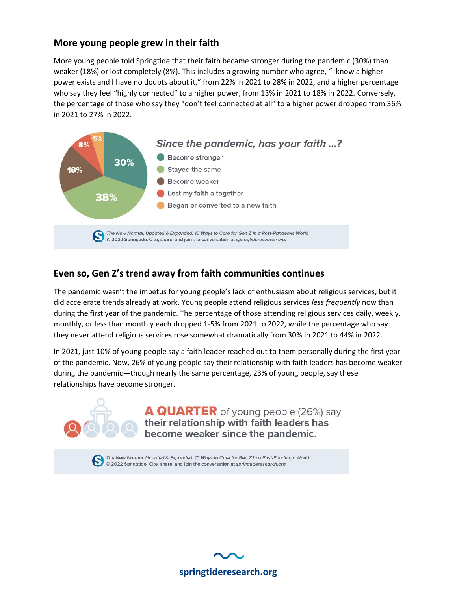#### **More young people grew in their faith**

More young people told Springtide that their faith became stronger during the pandemic (30%) than weaker (18%) or lost completely (8%). This includes a growing number who agree, "I know a higher power exists and I have no doubts about it," from 22% in 2021 to 28% in 2022, and a higher percentage who say they feel "highly connected" to a higher power, from 13% in 2021 to 18% in 2022. Conversely, the percentage of those who say they "don't feel connected at all" to a higher power dropped from 36% in 2021 to 27% in 2022.



### **Even so, Gen Z's trend away from faith communities continues**

The pandemic wasn't the impetus for young people's lack of enthusiasm about religious services, but it did accelerate trends already at work. Young people attend religious services *less frequently* now than during the first year of the pandemic. The percentage of those attending religious services daily, weekly, monthly, or less than monthly each dropped 1-5% from 2021 to 2022, while the percentage who say they never attend religious services rose somewhat dramatically from 30% in 2021 to 44% in 2022.

In 2021, just 10% of young people say a faith leader reached out to them personally during the first year of the pandemic. Now, 26% of young people say their relationship with faith leaders has become weaker during the pandemic—though nearly the same percentage, 23% of young people, say these relationships have become stronger.



The New Normal, Updated & Expanded: 10 Ways to Care for Gen Z in a Post-Pandemic World<br>© 2022 Springtide, Cite, share, and join the conversation at springtideresearch org. © 2022 Springtide. Cite, share, and join the conversation at springtideresearch.org.

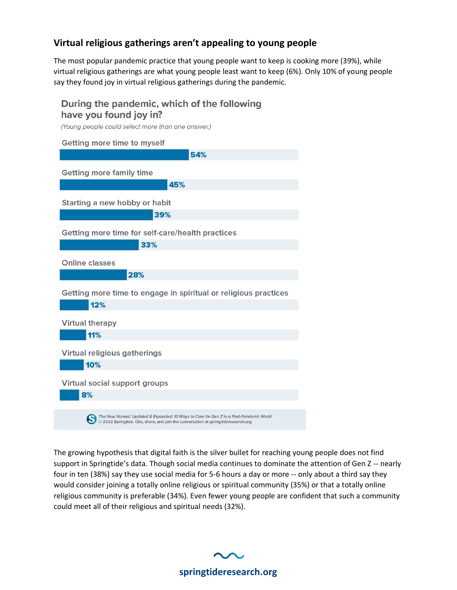## **Virtual religious gatherings aren't appealing to young people**

The most popular pandemic practice that young people want to keep is cooking more (39%), while virtual religious gatherings are what young people least want to keep (6%). Only 10% of young people say they found joy in virtual religious gatherings during the pandemic.

## During the pandemic, which of the following have you found joy in?

(Young people could select more than one answer.)

| Getting more time to myself                                                                                                                                                    |  |  |  |  |
|--------------------------------------------------------------------------------------------------------------------------------------------------------------------------------|--|--|--|--|
| 54%                                                                                                                                                                            |  |  |  |  |
| <b>Getting more family time</b>                                                                                                                                                |  |  |  |  |
| 45%                                                                                                                                                                            |  |  |  |  |
| Starting a new hobby or habit                                                                                                                                                  |  |  |  |  |
| 39%                                                                                                                                                                            |  |  |  |  |
| Getting more time for self-care/health practices                                                                                                                               |  |  |  |  |
| 33%                                                                                                                                                                            |  |  |  |  |
| Online classes                                                                                                                                                                 |  |  |  |  |
| 28%                                                                                                                                                                            |  |  |  |  |
| Getting more time to engage in spiritual or religious practices                                                                                                                |  |  |  |  |
| 12%                                                                                                                                                                            |  |  |  |  |
| <b>Virtual therapy</b>                                                                                                                                                         |  |  |  |  |
| 11%                                                                                                                                                                            |  |  |  |  |
| Virtual religious gatherings                                                                                                                                                   |  |  |  |  |
| 10%                                                                                                                                                                            |  |  |  |  |
| Virtual social support groups                                                                                                                                                  |  |  |  |  |
| 8%                                                                                                                                                                             |  |  |  |  |
| The New Normal, Updated & Expanded: 10 Ways to Care for Gen Z in a Post-Pandemic World<br>© 2022 Springtide. Cite, share, and join the conversation at springtideresearch.org. |  |  |  |  |

The growing hypothesis that digital faith is the silver bullet for reaching young people does not find support in Springtide's data. Though social media continues to dominate the attention of Gen Z -- nearly four in ten (38%) say they use social media for 5-6 hours a day or more -- only about a third say they would consider joining a totally online religious or spiritual community (35%) or that a totally online religious community is preferable (34%). Even fewer young people are confident that such a community could meet all of their religious and spiritual needs (32%).

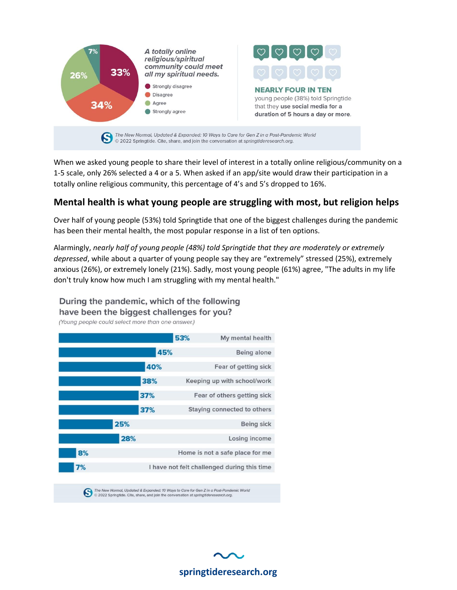

When we asked young people to share their level of interest in a totally online religious/community on a 1-5 scale, only 26% selected a 4 or a 5. When asked if an app/site would draw their participation in a totally online religious community, this percentage of 4's and 5's dropped to 16%.

## **Mental health is what young people are struggling with most, but religion helps**

Over half of young people (53%) told Springtide that one of the biggest challenges during the pandemic has been their mental health, the most popular response in a list of ten options.

Alarmingly, *nearly half of young people (48%) told Springtide that they are moderately or extremely depressed*, while about a quarter of young people say they are "extremely" stressed (25%), extremely anxious (26%), or extremely lonely (21%). Sadly, most young people (61%) agree, "The adults in my life don't truly know how much I am struggling with my mental health."

During the pandemic, which of the following have been the biggest challenges for you?

(Young people could select more than one answer.)

|     |     | 53% | My mental health                            |
|-----|-----|-----|---------------------------------------------|
|     | 45% |     | Being alone                                 |
|     | 40% |     | Fear of getting sick                        |
|     | 38% |     | Keeping up with school/work                 |
|     | 37% |     | Fear of others getting sick                 |
|     | 37% |     | Staying connected to others                 |
| 25% |     |     | <b>Being sick</b>                           |
| 28% |     |     | Losing income                               |
| 8%  |     |     | Home is not a safe place for me             |
| 7%  |     |     | I have not felt challenged during this time |

The New Normal, Updated & Expanded: 10 Ways to Care for Gen Z in a Post-Pandemic World<br>
C 2022 Springtide. Cite, share, and join the conversation at springtideresearch.org.

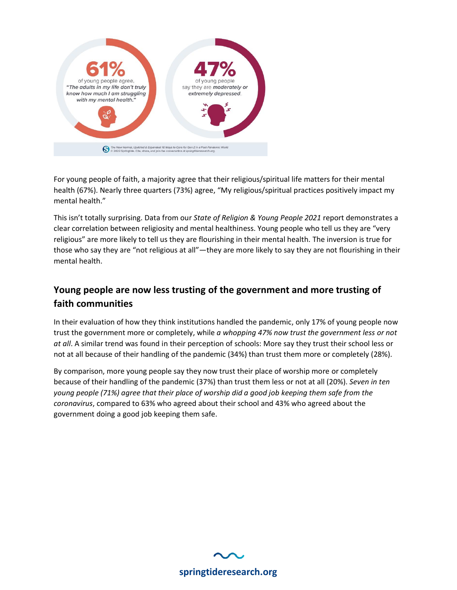

For young people of faith, a majority agree that their religious/spiritual life matters for their mental health (67%). Nearly three quarters (73%) agree, "My religious/spiritual practices positively impact my mental health."

This isn't totally surprising. Data from our *State of Religion & Young People 2021* report demonstrates a clear correlation between religiosity and mental healthiness. Young people who tell us they are "very religious" are more likely to tell us they are flourishing in their mental health. The inversion is true for those who say they are "not religious at all"—they are more likely to say they are not flourishing in their mental health.

## **Young people are now less trusting of the government and more trusting of faith communities**

In their evaluation of how they think institutions handled the pandemic, only 17% of young people now trust the government more or completely, while *a whopping 47% now trust the government less or not at all*. A similar trend was found in their perception of schools: More say they trust their school less or not at all because of their handling of the pandemic (34%) than trust them more or completely (28%).

By comparison, more young people say they now trust their place of worship more or completely because of their handling of the pandemic (37%) than trust them less or not at all (20%). *Seven in ten young people (71%) agree that their place of worship did a good job keeping them safe from the coronavirus*, compared to 63% who agreed about their school and 43% who agreed about the government doing a good job keeping them safe.

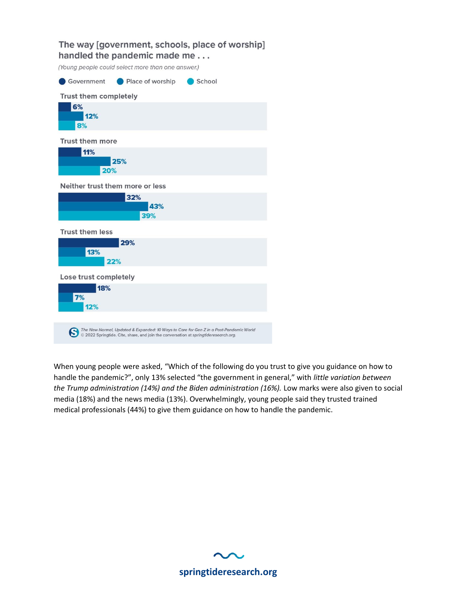## The way [government, schools, place of worship] handled the pandemic made me... (Young people could select more than one answer.) Government Place of worship School Trust them completely 6%  $12%$ 8% **Trust them more** 11% 25% 20% Neither trust them more or less 32% 43% 39% **Trust them less** 29% 13% 22% Lose trust completely 18% 7% 12% The New Normal, Updated & Expanded: 10 Ways to Care for Gen Z in a Post-Pandemic World<br>© 2022 Springtide. Cite, share, and join the conversation at springtideresearch.org.

When young people were asked, "Which of the following do you trust to give you guidance on how to handle the pandemic?", only 13% selected "the government in general," with *little variation between the Trump administration (14%) and the Biden administration (16%).* Low marks were also given to social media (18%) and the news media (13%). Overwhelmingly, young people said they trusted trained medical professionals (44%) to give them guidance on how to handle the pandemic.